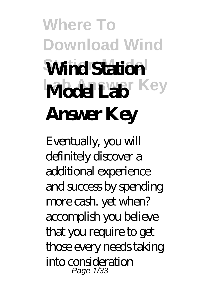## **Where To Download Wind Station Model Wind Station Model Lab** Key **Answer Key**

Eventually, you will definitely discover a additional experience and success by spending more cash. yet when? accomplish you believe that you require to get those every needs taking into consideration Page 1/33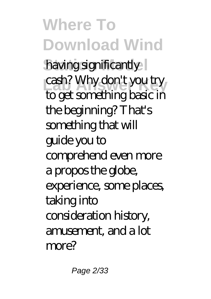**Where To Download Wind** having significantly cash? Why don't you try to get something basic in the beginning? That's something that will guide you to comprehend even more a propos the globe, experience, some places, taking into consideration history, amusement, and a lot more?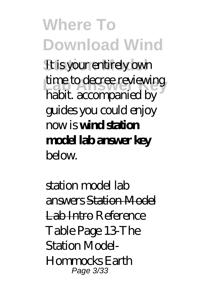**Where To Download Wind** It is your entirely own time to decree reviewing habit. accompanied by guides you could enjoy now is **wind station model lab answer key**  $b$ elow.

*station model lab answers* Station Model Lab Intro *Reference Table Page 13-The Station Model-Hommocks Earth* Page 3/33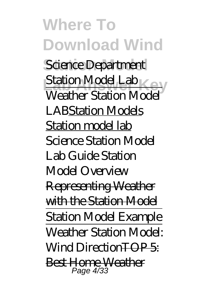**Where To Download Wind**  $Science Department$ *Station Model Lab* Weather Station Model LABStation Models Station model lab *Science Station Model Lab Guide Station Model Overview* Representing Weather with the Station Model Station Model Example Weather Station Model: Wind Direction<del>TOP 5</del>: Best Home Weather Page 4/33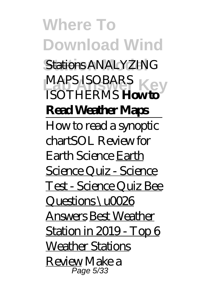**Where To Download Wind Stations** *ANALYZING* **LAB ANSWER KEY** *ISOTHERMS* **How to Read Weather Maps** How to read a synoptic chart*SOL Review for Earth Science* Earth Science Quiz - Science Test - Science Quiz Bee Questions \u0026 Answers Best Weather Station in 2019 - Top 6 Weather Stations Review *Make a* Page 5/33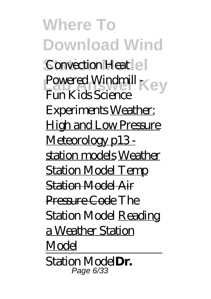**Where To Download Wind Convection Heat** e *Powered Windmill*  $\{e\}$ *Fun Kids Science Experiments* Weather: High and Low Pressure Meteorology p13station models Weather Station Model Temp Station Model Air Pressure Code The Station Model Reading a Weather Station Model Station Model**Dr.** Page 6/33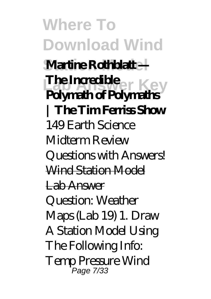**Where To Download Wind Station Model Martine Rothblatt — Lab Angle Answer Key**<br>**Polymath of Polymaths The Incredible | The Tim Ferriss Show** *149 Earth Science Midterm Review Questions with Answers!* Wind Station Model Lab Answer Question: Weather Maps (Lab 19) 1. Draw A Station Model Using The Following Info: Temp Pressure Wind Page 7/33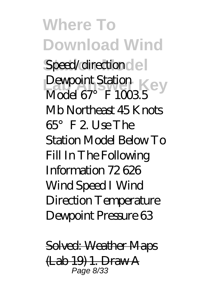**Where To Download Wind** Speed/direction del Dewpoint Station<br>Medal C<sub>2</sub><sup>2</sup> E<sup>1000</sup> Model 67°F 1003.5 Mb Northeast 45 Knots 65°F 2. Use The Station Model Below To Fill In The Following Information 72 626 Wind Speed I Wind Direction Temperature Dewpoint Pressure 63

Solved: Weather Maps (Lab 19) 1. Draw A Page 8/33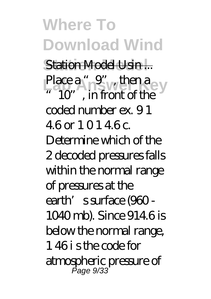**Where To Download Wind Station Model** Station Model Usin ... Place a "<sub>9</sub>", then a ey 10", in front of the coded number ex. 9 1 4.6 or 1 0 1 4.6 c. Determine which of the 2 decoded pressures falls within the normal range of pressures at the earth's surface (960 - 1040 mb). Since 914.6 is below the normal range, 1 46 i s the code for atmospheric pressure of Page 9/33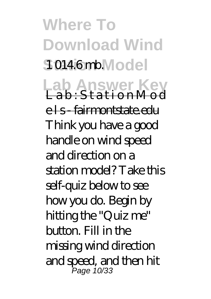**Where To Download Wind** 10146mb. Model **Lab Answer Key**<br>Lab:StationMod els fairmontstate.edu Think you have a good handle on wind speed and direction on a station model? Take this self-quiz below to see how you do. Begin by hitting the "Quiz me" button. Fill in the missing wind direction and speed, and then hit Page 10/33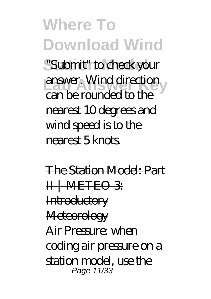**Where To Download Wind Station Model** "Submit" to check your **Lab Answer Key** answer. Wind direction can be rounded to the nearest 10 degrees and wind speed is to the nearest 5 knots.

The Station Model: Part II | METEO 3 **Introductory Meteorology** Air Pressure: when coding air pressure on a station model, use the Page 11/33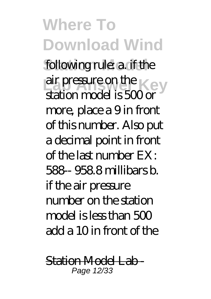**Where To Download Wind** following rule: a if the air pressure on the Key  $\mathsf{Lat}$  or  $\mathsf{Cat}$  is  $500$  or more, place a 9 in front of this number. Also put a decimal point in front of the last number EX: 588-- 958.8 millibars b. if the air pressure number on the station model is less than  $500$ add a 10 in front of the

Station Model Lab - Page 12/33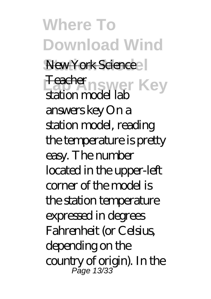**Where To Download Wind** New York Science **Feeber**nswer Key station model lab answers key On a station model, reading the temperature is pretty easy. The number located in the upper-left corner of the model is the station temperature expressed in degrees Fahrenheit (or Celsius, depending on the country of origin). In the Page 13/33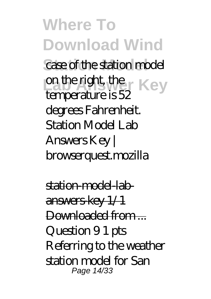**Where To Download Wind** case of the station model **Lab Answer Key** temperature is 52 degrees Fahrenheit. Station Model Lab Answers Key | browserquest.mozilla

station-model-labanswers-key 1/1 Downloaded from ... Question 9 1 pts Referring to the weather station model for San Page 14/33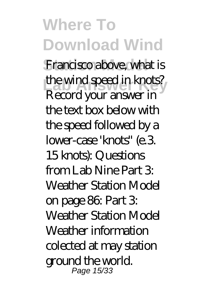**Where To Download Wind** Francisco above, what is the wind speed in knots? Record your answer in the text box below with the speed followed by a lower-case 'knots" (e.3. 15 knots): Questions from Lab Nine Part 3: Weather Station Model on page 86: Part 3: Weather Station Model Weather information colected at may station ground the world. Page 15/33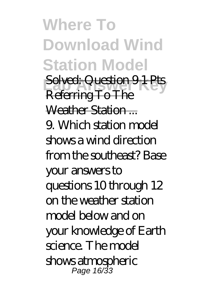**Where To Download Wind Station Model Solved: Question 9 1 Pts** Referring To The Weather Station ... 9. Which station model shows a wind direction from the southeast? Base your answers to questions 10 through 12 on the weather station model below and on your knowledge of Earth science. The model shows atmospheric Page 16/33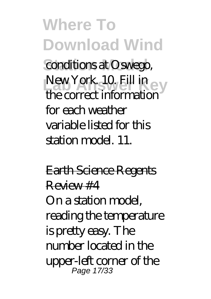**Where To Download Wind** conditions at Oswego, New York. 10. Fill in the correct information for each weather variable listed for this station model. 11.

Earth Science Regents  $R$ eview #4 On a station model, reading the temperature is pretty easy. The number located in the upper-left corner of the Page 17/33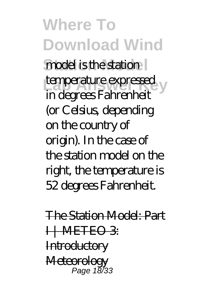**Where To Download Wind** model is the station temperature expressed in degrees Fahrenheit (or Celsius, depending on the country of origin). In the case of the station model on the right, the temperature is 52 degrees Fahrenheit.

The Station Model: Part **H-METEO 3: Introductory Meteorology** Page 18/33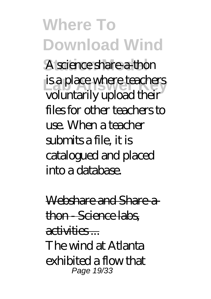**Where To Download Wind** A science share-a-thon is a place where teachers voluntarily upload their files for other teachers to use. When a teacher submits a file, it is catalogued and placed into a database.

Webshare and Share-athon - Science labs activities ... The wind at Atlanta exhibited a flow that Page 19/33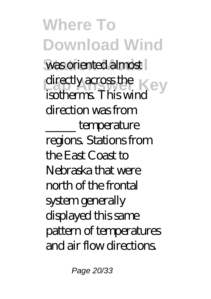**Where To Download Wind** was oriented almost directly across the Key isotherms. This wind direction was from \_\_\_\_\_ temperature regions. Stations from the East Coast to Nebraska that were north of the frontal system generally displayed this same pattern of temperatures and air flow directions.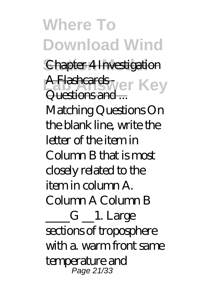**Where To Download Wind Chapter 4 Investigation A Flashcards** wer Key Questions and ... Matching Questions On the blank line, write the letter of the item in Column B that is most closely related to the item in column A. Column A Column B  $-G$   $\_\_1$ . Large sections of troposphere with a. warm front same temperature and Page 21/33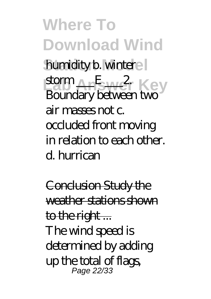**Where To Download Wind** humidity b. wintere storm An<sup>E</sup> wer Key Boundary between two air masses not c. occluded front moving in relation to each other. d. hurrican

Conclusion Study the weather stations shown to the right... The wind speed is determined by adding up the total of flags, Page 22/33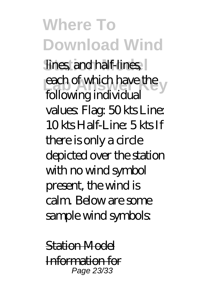**Where To Download Wind** lines, and half-lines, each of which have the following individual values: Flag: 50 kts Line: 10 kts Half-Line: 5 kts If there is only a circle depicted over the station with no wind symbol present, the wind is calm. Below are some sample wind symbols:

Station Model Information for Page 23/33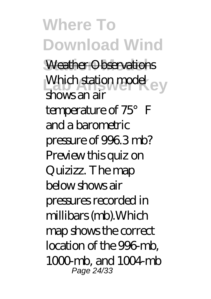**Where To Download Wind Weather Observations** Which station model ey shows an air temperature of 75°F and a barometric pressure of 996.3 mb? Preview this quiz on Quizizz. The map below shows air pressures recorded in millibars (mb).Which map shows the correct location of the 996-mb,  $1000 \,\mathrm{mb}$  and  $1004 \,\mathrm{mb}$ Page 24/33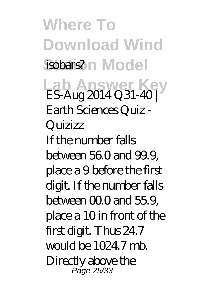**Where To Download Wind** isobars?n Model **Lab Answer K** ES-Aug 2014 Q 31-40 + Earth Sciences Quiz - **Quizizz** If the number falls between 56.0 and 99.9, place a 9 before the first digit. If the number falls between  $000$  and  $559$ place a 10 in front of the first digit. Thus 24.7 would be 1024.7 mb. Directly above the Page 25/33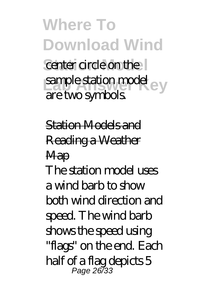**Where To Download Wind** center circle on the sample station model ey are two symbols.

Station Models and Reading a Weather **Map** The station model uses a wind barb to show both wind direction and speed. The wind barb shows the speed using "flags" on the end. Each half of a flag depicts 5 Page 26/33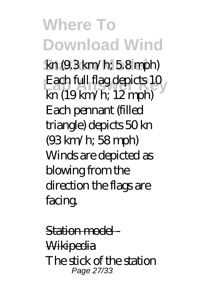**Where To Download Wind Station Model** kn (9.3 km/h; 5.8 mph) Each full flag depicts 10 kn (19 km/h; 12 mph) Each pennant (filled triangle) depicts 50 kn (93 km/h; 58 mph) Winds are depicted as blowing from the direction the flags are facing.

Station model -**Wikipedia** The stick of the station Page 27/33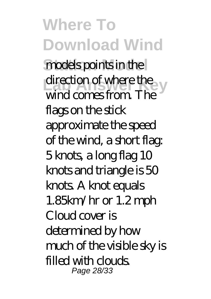**Where To Download Wind** models points in the direction of where the wind comes from. The flags on the stick approximate the speed of the wind, a short flag: 5 knots, a long flag 10 knots and triangle is 50 knots. A knot equals 1.85km/hr or 1.2 mph Claud cover is determined by how much of the visible sky is filled with clouds. Page 28/33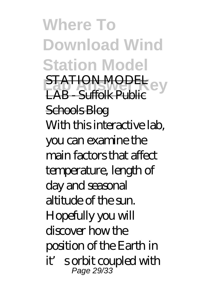**Where To Download Wind Station Model LATION MODEL** LAB Suffolk Public Schools Blog With this interactive lab, you can examine the main factors that affect temperature, length of day and seasonal altitude of the sun. Hopefully you will discover how the position of the Earth in it's orbit coupled with Page 29/33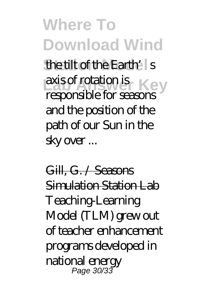**Where To Download Wind** the tilt of the Earth's axis of rotation is Key responsible for seasons and the position of the path of our Sun in the sky over ...

Gill, G. / Seasons Simulation Station Lab Teaching-Learning Model (TLM) grew out of teacher enhancement programs developed in national energy Page 30/33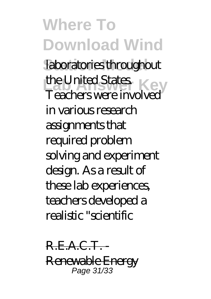**Where To Download Wind** laboratories throughout the United States.<br>The United States. Teachers were involved in various research assignments that required problem solving and experiment design. As a result of these lab experiences, teachers developed a realistic "scientific

R.E.A.C.T. Renewable Energy Page 31/33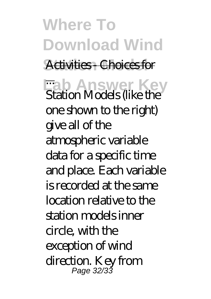**Where To Download Wind Activities Choices for Lab Answer Key** ... Station Models (like the one shown to the right) give all of the atmospheric variable data for a specific time and place. Each variable is recorded at the same location relative to the station models inner circle, with the exception of wind direction. Key from Page 32/33